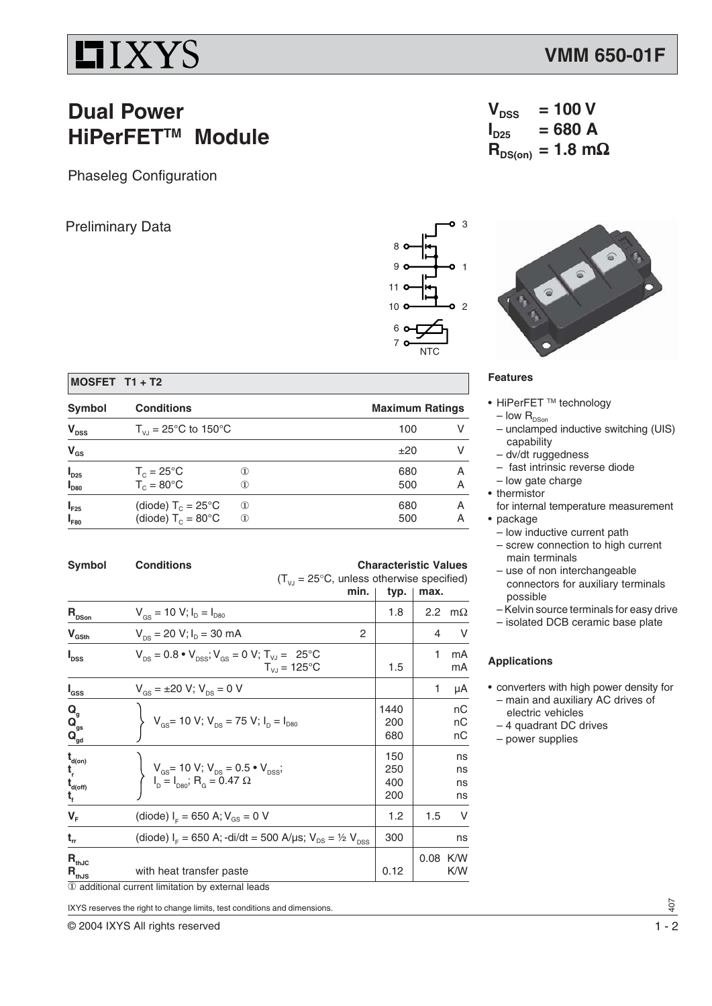# $IIIXYS$

### **Dual Power HiPerFET™ Module**

Phaseleg Configuration

### Preliminary Data 3





#### **Features**

• HiPerFET ™ technology

 $V_{DSS}$  = 100 V<br> $I_{D25}$  = 680 A

 $R_{DS(on)} = 1.8$  mΩ

**ID25 = 680 A**

- low  $R_{\text{DSon}}$
- unclamped inductive switching (UIS) capability
- dv/dt ruggedness
- fast intrinsic reverse diode
- low gate charge
- thermistor
- for internal temperature measurement • package
	- low inductive current path
	- screw connection to high current main terminals
	- use of non interchangeable connectors for auxiliary terminals possible
	- Kelvin source terminals for easy drive
	- isolated DCB ceramic base plate

#### **Applications**

- converters with high power density for – main and auxiliary AC drives of
	- electric vehicles
	- 4 quadrant DC drives
	- power supplies

| MOSFET T1 + T2 |  |  |  |
|----------------|--|--|--|
|----------------|--|--|--|

| Symbol                 | <b>Conditions</b>                                            |                                                       |            | <b>Maximum Ratings</b> |  |  |
|------------------------|--------------------------------------------------------------|-------------------------------------------------------|------------|------------------------|--|--|
| $V_{DSS}$              | $T_{V,I}$ = 25°C to 150°C                                    |                                                       | 100        |                        |  |  |
| $V_{GS}$               |                                                              |                                                       | ±20        |                        |  |  |
| $I_{D25}$<br>$I_{D80}$ | $T_c = 25^{\circ}$ C<br>$T_c = 80^{\circ}$ C                 | $\rm_ (1)$<br>困                                       | 680<br>500 | А<br>А                 |  |  |
| $I_{F25}$<br>$I_{F80}$ | (diode) $T_c = 25^{\circ}$ C<br>(diode) $T_c = 80^{\circ}$ C | $^{\textcircled{\footnotesize{1}}}$<br>$^{\circledR}$ | 680<br>500 | А<br>А                 |  |  |

| <b>Symbol</b>                                                                                                    | <b>Conditions</b>                                                                                                                 | <b>Characteristic Values</b><br>$(T_{V_1} = 25^{\circ}C$ , unless otherwise specified) |               |                      |
|------------------------------------------------------------------------------------------------------------------|-----------------------------------------------------------------------------------------------------------------------------------|----------------------------------------------------------------------------------------|---------------|----------------------|
|                                                                                                                  | min.                                                                                                                              | typ.                                                                                   | max.          |                      |
| $\mathbf{R}_{\text{DSon}}$                                                                                       | $V_{gs}$ = 10 V; $I_D = I_{D80}$                                                                                                  | 1.8                                                                                    | $2.2^{\circ}$ | $m\Omega$            |
| $V_{\text{GSth}}$                                                                                                | $V_{DS}$ = 20 V; $I_D$ = 30 mA<br>2                                                                                               |                                                                                        | 4             | V                    |
| I <sub>dss</sub>                                                                                                 | $V_{DS} = 0.8 \cdot V_{DSS}$ ; $V_{GS} = 0$ V; $T_{VJ} = 25$ °C<br>$T_{VJ} = 125^{\circ}C$                                        | 1.5                                                                                    | 1             | mA<br>mA             |
| $\mathsf{I}_{\mathsf{GSS}}$                                                                                      | $V_{\text{gs}} = \pm 20 \text{ V}; V_{\text{ps}} = 0 \text{ V}$                                                                   |                                                                                        | 1             | μA                   |
| $\mathbf{Q}_{\mathbf{g}}$<br>$\mathbf{Q}_{\text{gs}}^{\text{s}}$                                                 | $V_{GS}$ = 10 V; $V_{DS}$ = 75 V; $I_D = I_{D80}$                                                                                 | 1440<br>200<br>680                                                                     |               | nС<br>nC<br>пC       |
| $\mathbf{t}_{\mathsf{d}(\mathsf{on})}$<br>$\mathbf{t}_{\mathbf{r}}$<br>$\mathbf{t}_{\text{\tiny{d(off)}}}$<br>t, | $V_{\text{gs}}$ = 10 V; V <sub>DS</sub> = 0.5 • V <sub>DSS</sub> ;<br>I <sub>D</sub> = I <sub>D80</sub> ; R <sub>G</sub> = 0.47 Ω | 150<br>250<br>400<br>200                                                               |               | ns<br>ns<br>ns<br>ns |
| $V_F$                                                                                                            | (diode) $I_c = 650$ A; $V_{GS} = 0$ V                                                                                             | 1.2                                                                                    | 1.5           | V                    |
| $t_{rr}$                                                                                                         | (diode) $I_F = 650$ A; -di/dt = 500 A/µs; $V_{DS} = \frac{1}{2} V_{DSS}$                                                          | 300                                                                                    |               | ns                   |
| $\mathbf{R}_{\text{thJC}}$<br>$R_{\text{thJS}}$                                                                  | with heat transfer paste<br>1 additional current limitation by external leads                                                     | 0.12                                                                                   | 0.08 K/W      | K/W                  |

IXYS reserves the right to change limits, test conditions and dimensions.

© 2004 IXYS All rights reserved 1 - 2